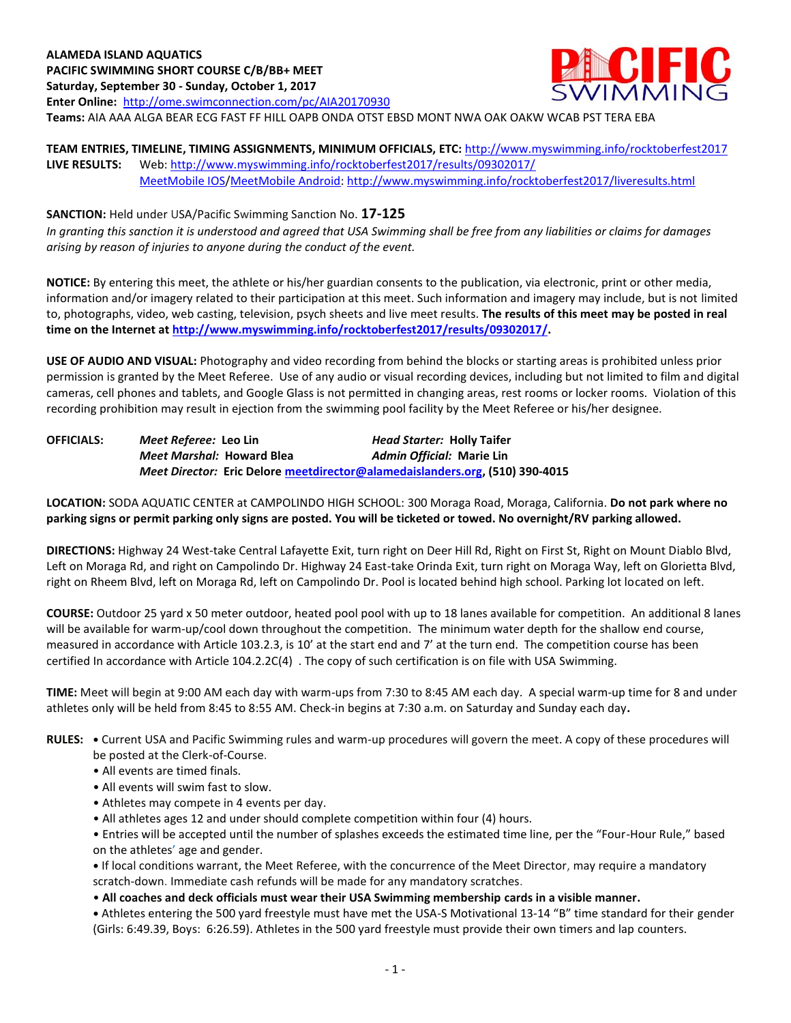

# **TEAM ENTRIES, TIMELINE, TIMING ASSIGNMENTS, MINIMUM OFFICIALS, ETC:** <http://www.myswimming.info/rocktoberfest2017> **LIVE RESULTS:** Web:<http://www.myswimming.info/rocktoberfest2017/results/09302017/> [MeetMobile IOS/](http://itunes.apple.com/us/app/meet-mobile/id422154977?mt=8)[MeetMobile Android:](http://www.google.com/url?sa=t&rct=j&q=meet%20mobile%20for%20android&source=web&cd=1&cad=rja&sqi=2&ved=0CB8QFjAA&url=https%3A//play.google.com/store/apps/details?id=com.active.aps.meetmobile&hl=en&ei=SV1hUNurJaqyiQKi34CoAQ&usg=AFQjCNHcXgA2cvVlEh6P-R3Zc0R1cRKSuQ)<http://www.myswimming.info/rocktoberfest2017/liveresults.html>

**SANCTION:** Held under USA/Pacific Swimming Sanction No. **17-125** *In granting this sanction it is understood and agreed that USA Swimming shall be free from any liabilities or claims for damages arising by reason of injuries to anyone during the conduct of the event.*

**NOTICE:** By entering this meet, the athlete or his/her guardian consents to the publication, via electronic, print or other media, information and/or imagery related to their participation at this meet. Such information and imagery may include, but is not limited to, photographs, video, web casting, television, psych sheets and live meet results. **The results of this meet may be posted in real time on the Internet a[t http://www.myswimming.info/rocktoberfest2017/results/09302017/.](http://www.myswimming.info/rocktoberfest2017/results/09302017/)**

**USE OF AUDIO AND VISUAL:** Photography and video recording from behind the blocks or starting areas is prohibited unless prior permission is granted by the Meet Referee. Use of any audio or visual recording devices, including but not limited to film and digital cameras, cell phones and tablets, and Google Glass is not permitted in changing areas, rest rooms or locker rooms. Violation of this recording prohibition may result in ejection from the swimming pool facility by the Meet Referee or his/her designee.

**OFFICIALS:** *Meet Referee:* **Leo Lin** *Head Starter:* **Holly Taifer** *Meet Marshal:* **Howard Blea** *Admin Official:* **Marie Lin** *Meet Director:* **Eric Delor[e meetdirector@alamedaislanders.org,](mailto:meetdirector@alamedaislanders.org) (510) 390-4015**

**LOCATION:** SODA AQUATIC CENTER at CAMPOLINDO HIGH SCHOOL: 300 Moraga Road, Moraga, California. **Do not park where no parking signs or permit parking only signs are posted. You will be ticketed or towed. No overnight/RV parking allowed.**

**DIRECTIONS:** Highway 24 West-take Central Lafayette Exit, turn right on Deer Hill Rd, Right on First St, Right on Mount Diablo Blvd, Left on Moraga Rd, and right on Campolindo Dr. Highway 24 East-take Orinda Exit, turn right on Moraga Way, left on Glorietta Blvd, right on Rheem Blvd, left on Moraga Rd, left on Campolindo Dr. Pool is located behind high school. Parking lot located on left.

**COURSE:** Outdoor 25 yard x 50 meter outdoor, heated pool pool with up to 18 lanes available for competition.An additional 8 lanes will be available for warm-up/cool down throughout the competition. The minimum water depth for the shallow end course, measured in accordance with Article 103.2.3, is 10' at the start end and 7' at the turn end. The competition course has been certified In accordance with Article 104.2.2C(4) . The copy of such certification is on file with USA Swimming.

**TIME:** Meet will begin at 9:00 AM each day with warm-ups from 7:30 to 8:45 AM each day. A special warm-up time for 8 and under athletes only will be held from 8:45 to 8:55 AM. Check-in begins at 7:30 a.m. on Saturday and Sunday each day**.**

**RULES: •** Current USA and Pacific Swimming rules and warm-up procedures will govern the meet. A copy of these procedures will be posted at the Clerk-of-Course.

- All events are timed finals.
- All events will swim fast to slow.
- Athletes may compete in 4 events per day.
- All athletes ages 12 and under should complete competition within four (4) hours.

• Entries will be accepted until the number of splashes exceeds the estimated time line, per the "Four-Hour Rule," based on the athletes' age and gender.

**•** If local conditions warrant, the Meet Referee, with the concurrence of the Meet Director, may require a mandatory scratch-down. Immediate cash refunds will be made for any mandatory scratches.

• **All coaches and deck officials must wear their USA Swimming membership cards in a visible manner.** 

**•** Athletes entering the 500 yard freestyle must have met the USA-S Motivational 13-14 "B" time standard for their gender (Girls: 6:49.39, Boys: 6:26.59). Athletes in the 500 yard freestyle must provide their own timers and lap counters.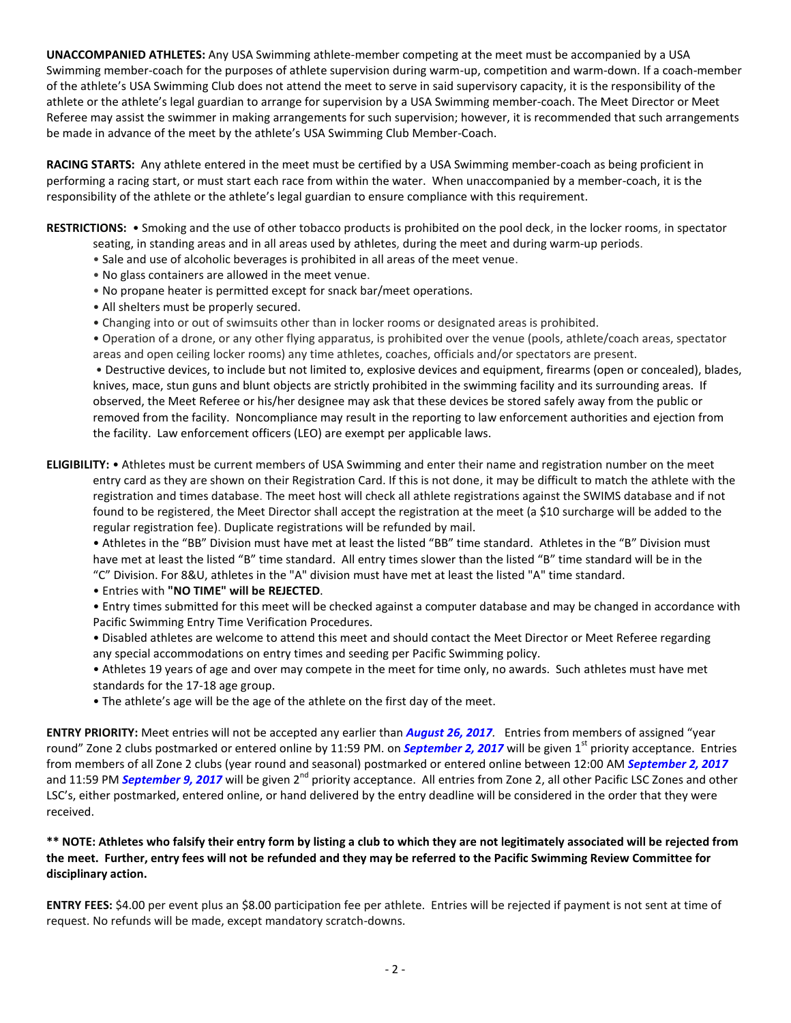**UNACCOMPANIED ATHLETES:** Any USA Swimming athlete-member competing at the meet must be accompanied by a USA Swimming member-coach for the purposes of athlete supervision during warm-up, competition and warm-down. If a coach-member of the athlete's USA Swimming Club does not attend the meet to serve in said supervisory capacity, it is the responsibility of the athlete or the athlete's legal guardian to arrange for supervision by a USA Swimming member-coach. The Meet Director or Meet Referee may assist the swimmer in making arrangements for such supervision; however, it is recommended that such arrangements be made in advance of the meet by the athlete's USA Swimming Club Member-Coach.

**RACING STARTS:** Any athlete entered in the meet must be certified by a USA Swimming member-coach as being proficient in performing a racing start, or must start each race from within the water. When unaccompanied by a member-coach, it is the responsibility of the athlete or the athlete's legal guardian to ensure compliance with this requirement.

**RESTRICTIONS:** • Smoking and the use of other tobacco products is prohibited on the pool deck, in the locker rooms, in spectator seating, in standing areas and in all areas used by athletes, during the meet and during warm-up periods.

- Sale and use of alcoholic beverages is prohibited in all areas of the meet venue.
- No glass containers are allowed in the meet venue.
- No propane heater is permitted except for snack bar/meet operations.
- All shelters must be properly secured.
- Changing into or out of swimsuits other than in locker rooms or designated areas is prohibited.

• Operation of a drone, or any other flying apparatus, is prohibited over the venue (pools, athlete/coach areas, spectator areas and open ceiling locker rooms) any time athletes, coaches, officials and/or spectators are present.

• Destructive devices, to include but not limited to, explosive devices and equipment, firearms (open or concealed), blades, knives, mace, stun guns and blunt objects are strictly prohibited in the swimming facility and its surrounding areas. If observed, the Meet Referee or his/her designee may ask that these devices be stored safely away from the public or removed from the facility. Noncompliance may result in the reporting to law enforcement authorities and ejection from the facility. Law enforcement officers (LEO) are exempt per applicable laws.

**ELIGIBILITY:** • Athletes must be current members of USA Swimming and enter their name and registration number on the meet entry card as they are shown on their Registration Card. If this is not done, it may be difficult to match the athlete with the registration and times database. The meet host will check all athlete registrations against the SWIMS database and if not found to be registered, the Meet Director shall accept the registration at the meet (a \$10 surcharge will be added to the regular registration fee). Duplicate registrations will be refunded by mail.

• Athletes in the "BB" Division must have met at least the listed "BB" time standard. Athletes in the "B" Division must have met at least the listed "B" time standard. All entry times slower than the listed "B" time standard will be in the "C" Division. For 8&U, athletes in the "A" division must have met at least the listed "A" time standard.

• Entries with **"NO TIME" will be REJECTED**.

• Entry times submitted for this meet will be checked against a computer database and may be changed in accordance with Pacific Swimming Entry Time Verification Procedures.

• Disabled athletes are welcome to attend this meet and should contact the Meet Director or Meet Referee regarding any special accommodations on entry times and seeding per Pacific Swimming policy.

• Athletes 19 years of age and over may compete in the meet for time only, no awards. Such athletes must have met standards for the 17-18 age group.

• The athlete's age will be the age of the athlete on the first day of the meet.

**ENTRY PRIORITY:** Meet entries will not be accepted any earlier than *August 26, 2017.* Entries from members of assigned "year round" Zone 2 clubs postmarked or entered online by 11:59 PM. on *September 2, 2017* will be given 1<sup>st</sup> priority acceptance. Entries from members of all Zone 2 clubs (year round and seasonal) postmarked or entered online between 12:00 AM *September 2, 2017* and 11:59 PM **September 9, 2017** will be given 2<sup>nd</sup> priority acceptance. All entries from Zone 2, all other Pacific LSC Zones and other LSC's, either postmarked, entered online, or hand delivered by the entry deadline will be considered in the order that they were received.

### **\*\* NOTE: Athletes who falsify their entry form by listing a club to which they are not legitimately associated will be rejected from the meet. Further, entry fees will not be refunded and they may be referred to the Pacific Swimming Review Committee for disciplinary action.**

**ENTRY FEES:** \$4.00 per event plus an \$8.00 participation fee per athlete. Entries will be rejected if payment is not sent at time of request. No refunds will be made, except mandatory scratch-downs.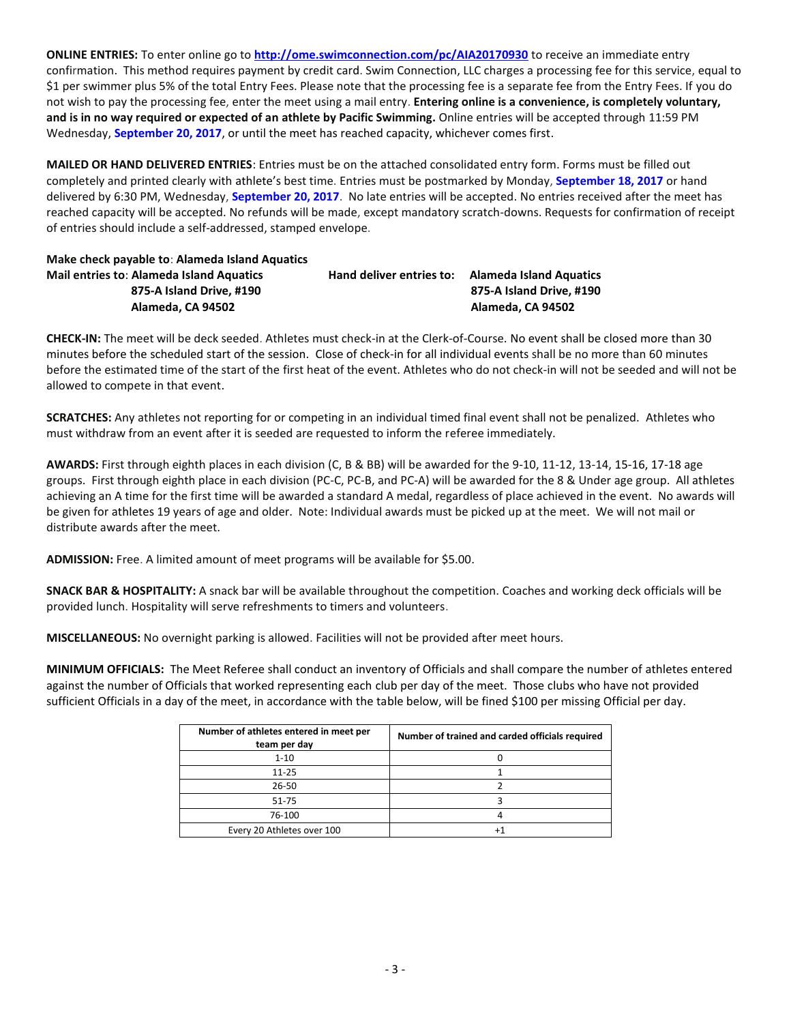**ONLINE ENTRIES:** To enter online go to **<http://ome.swimconnection.com/pc/AIA20170930>** to receive an immediate entry confirmation. This method requires payment by credit card. Swim Connection, LLC charges a processing fee for this service, equal to \$1 per swimmer plus 5% of the total Entry Fees. Please note that the processing fee is a separate fee from the Entry Fees. If you do not wish to pay the processing fee, enter the meet using a mail entry. **Entering online is a convenience, is completely voluntary, and is in no way required or expected of an athlete by Pacific Swimming.** Online entries will be accepted through 11:59 PM Wednesday, **September 20, 2017**, or until the meet has reached capacity, whichever comes first.

**MAILED OR HAND DELIVERED ENTRIES**: Entries must be on the attached consolidated entry form. Forms must be filled out completely and printed clearly with athlete's best time. Entries must be postmarked by Monday, **September 18, 2017** or hand delivered by 6:30 PM, Wednesday, **September 20, 2017**. No late entries will be accepted. No entries received after the meet has reached capacity will be accepted. No refunds will be made, except mandatory scratch-downs. Requests for confirmation of receipt of entries should include a self-addressed, stamped envelope.

## **Make check payable to**: **Alameda Island Aquatics Mail entries to**: **Alameda Island Aquatics Hand deliver entries to: Alameda Island Aquatics 875-A Island Drive, #190 875-A Island Drive, #190 Alameda, CA 94502 Alameda, CA 94502**

**CHECK-IN:** The meet will be deck seeded. Athletes must check-in at the Clerk-of-Course. No event shall be closed more than 30 minutes before the scheduled start of the session. Close of check-in for all individual events shall be no more than 60 minutes before the estimated time of the start of the first heat of the event. Athletes who do not check-in will not be seeded and will not be allowed to compete in that event.

**SCRATCHES:** Any athletes not reporting for or competing in an individual timed final event shall not be penalized. Athletes who must withdraw from an event after it is seeded are requested to inform the referee immediately.

**AWARDS:** First through eighth places in each division (C, B & BB) will be awarded for the 9-10, 11-12, 13-14, 15-16, 17-18 age groups. First through eighth place in each division (PC-C, PC-B, and PC-A) will be awarded for the 8 & Under age group. All athletes achieving an A time for the first time will be awarded a standard A medal, regardless of place achieved in the event. No awards will be given for athletes 19 years of age and older. Note: Individual awards must be picked up at the meet. We will not mail or distribute awards after the meet.

**ADMISSION:** Free. A limited amount of meet programs will be available for \$5.00.

**SNACK BAR & HOSPITALITY:** A snack bar will be available throughout the competition. Coaches and working deck officials will be provided lunch. Hospitality will serve refreshments to timers and volunteers.

**MISCELLANEOUS:** No overnight parking is allowed. Facilities will not be provided after meet hours.

**MINIMUM OFFICIALS:** The Meet Referee shall conduct an inventory of Officials and shall compare the number of athletes entered against the number of Officials that worked representing each club per day of the meet. Those clubs who have not provided sufficient Officials in a day of the meet, in accordance with the table below, will be fined \$100 per missing Official per day.

| Number of athletes entered in meet per<br>team per day | Number of trained and carded officials required |
|--------------------------------------------------------|-------------------------------------------------|
| $1 - 10$                                               |                                                 |
| $11 - 25$                                              |                                                 |
| $26 - 50$                                              |                                                 |
| $51 - 75$                                              |                                                 |
| 76-100                                                 |                                                 |
| Every 20 Athletes over 100                             |                                                 |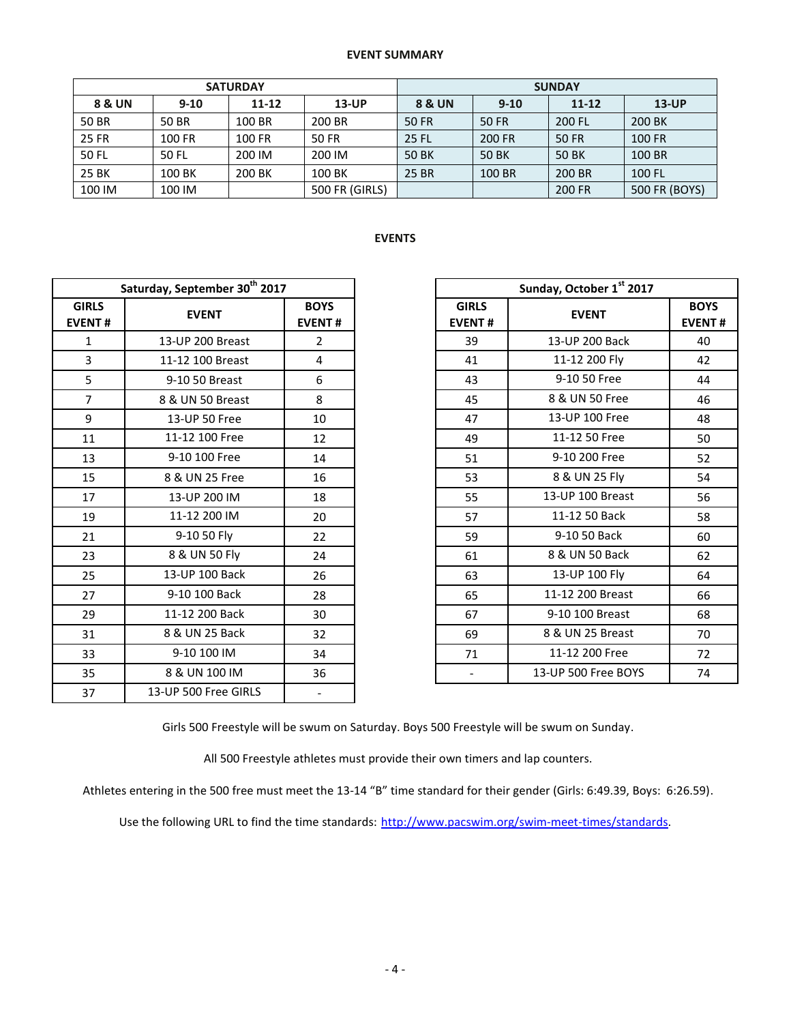#### **EVENT SUMMARY**

|              |          | <b>SATURDAY</b> |                | <b>SUNDAY</b> |        |           |               |  |  |
|--------------|----------|-----------------|----------------|---------------|--------|-----------|---------------|--|--|
| 8 & UN       | $9 - 10$ | $11 - 12$       | <b>13-UP</b>   | 8 & UN        | $9-10$ | $11 - 12$ | $13$ -UP      |  |  |
| 50 BR        | 50 BR    | 100 BR          | 200 BR         | 50 FR         | 50 FR  | 200 FL    | 200 BK        |  |  |
| <b>25 FR</b> | 100 FR   | 100 FR          | 50 FR          | 25 FL         | 200 FR | 50 FR     | <b>100 FR</b> |  |  |
| 50 FL        | 50 FL    | 200 IM          | 200 IM         | 50 BK         | 50 BK  | 50 BK     | 100 BR        |  |  |
| 25 BK        | 100 BK   | 200 BK          | 100 BK         | 25 BR         | 100 BR | 200 BR    | 100 FL        |  |  |
| 100 IM       | 100 IM   |                 | 500 FR (GIRLS) |               |        | 200 FR    | 500 FR (BOYS) |  |  |

## **EVENTS**

|                               | Saturday, September 30 <sup>th</sup> 2017 |                              |                               | Sunday, October 1st 2017 |
|-------------------------------|-------------------------------------------|------------------------------|-------------------------------|--------------------------|
| <b>GIRLS</b><br><b>EVENT#</b> | <b>EVENT</b>                              | <b>BOYS</b><br><b>EVENT#</b> | <b>GIRLS</b><br><b>EVENT#</b> | <b>EVENT</b>             |
| $\mathbf{1}$                  | 13-UP 200 Breast                          | $\overline{2}$               | 39                            | 13-UP 200 Back           |
| 3                             | 11-12 100 Breast                          | 4                            | 41                            | 11-12 200 Fly            |
| 5                             | 9-10 50 Breast                            | 6                            | 43                            | 9-10 50 Free             |
| $\overline{7}$                | 8 & UN 50 Breast                          | 8                            | 45                            | 8 & UN 50 Free           |
| 9                             | 13-UP 50 Free                             | 10                           | 47                            | 13-UP 100 Free           |
| 11                            | 11-12 100 Free                            | 12                           | 49                            | 11-12 50 Free            |
| 13                            | 9-10 100 Free                             | 14                           | 51                            | 9-10 200 Free            |
| 15                            | 8 & UN 25 Free                            | 16                           | 53                            | 8 & UN 25 Fly            |
| 17                            | 13-UP 200 IM                              | 18                           | 55                            | 13-UP 100 Breast         |
| 19                            | 11-12 200 IM                              | 20                           | 57                            | 11-12 50 Back            |
| 21                            | 9-10 50 Fly                               | 22                           | 59                            | 9-10 50 Back             |
| 23                            | 8 & UN 50 Fly                             | 24                           | 61                            | 8 & UN 50 Back           |
| 25                            | 13-UP 100 Back                            | 26                           | 63                            | 13-UP 100 Fly            |
| 27                            | 9-10 100 Back                             | 28                           | 65                            | 11-12 200 Breast         |
| 29                            | 11-12 200 Back                            | 30                           | 67                            | 9-10 100 Breast          |
| 31                            | 8 & UN 25 Back                            | 32                           | 69                            | 8 & UN 25 Breast         |
| 33                            | 9-10 100 IM                               | 34                           | 71                            | 11-12 200 Free           |
| 35                            | 8 & UN 100 IM                             | 36                           | $\overline{\phantom{a}}$      | 13-UP 500 Free BOYS      |
| 37                            | 13-UP 500 Free GIRLS                      | $\overline{\phantom{a}}$     |                               |                          |

| Saturday, September 30th 2017 |                  |                              |                               | Sunday, October 1st 2017 |                              |
|-------------------------------|------------------|------------------------------|-------------------------------|--------------------------|------------------------------|
| <b>IRLS</b><br>ENT#           | <b>EVENT</b>     | <b>BOYS</b><br><b>EVENT#</b> | <b>GIRLS</b><br><b>EVENT#</b> | <b>EVENT</b>             | <b>BOYS</b><br><b>EVENT#</b> |
| $\mathbf{1}$                  | 13-UP 200 Breast | $\overline{2}$               | 39                            | 13-UP 200 Back           | 40                           |
| $\overline{3}$                | 11-12 100 Breast | 4                            | 41                            | 11-12 200 Fly            | 42                           |
| $\overline{5}$                | 9-10 50 Breast   | 6                            | 43                            | 9-10 50 Free             | 44                           |
| $\overline{7}$                | 8 & UN 50 Breast | 8                            | 45                            | 8 & UN 50 Free           | 46                           |
| 9                             | 13-UP 50 Free    | 10                           | 47                            | 13-UP 100 Free           | 48                           |
| 11                            | 11-12 100 Free   | 12                           | 49                            | 11-12 50 Free            | 50                           |
| 13                            | 9-10 100 Free    | 14                           | 51                            | 9-10 200 Free            | 52                           |
| 15                            | 8 & UN 25 Free   | 16                           | 53                            | 8 & UN 25 Fly            | 54                           |
| 17                            | 13-UP 200 IM     | 18                           | 55                            | 13-UP 100 Breast         | 56                           |
| 19                            | 11-12 200 IM     | 20                           | 57                            | 11-12 50 Back            | 58                           |
| 21                            | 9-10 50 Fly      | 22                           | 59                            | 9-10 50 Back             | 60                           |
| 23                            | 8 & UN 50 Fly    | 24                           | 61                            | 8 & UN 50 Back           | 62                           |
| 25                            | 13-UP 100 Back   | 26                           | 63                            | 13-UP 100 Fly            | 64                           |
| 27                            | 9-10 100 Back    | 28                           | 65                            | 11-12 200 Breast         | 66                           |
| 29                            | 11-12 200 Back   | 30                           | 67                            | 9-10 100 Breast          | 68                           |
| 31                            | 8 & UN 25 Back   | 32                           | 69                            | 8 & UN 25 Breast         | 70                           |
| 33                            | 9-10 100 IM      | 34                           | 71                            | 11-12 200 Free           | 72                           |
| 35                            | 8 & UN 100 IM    | 36                           | $\overline{\phantom{a}}$      | 13-UP 500 Free BOYS      | 74                           |
|                               |                  |                              |                               |                          |                              |

Girls 500 Freestyle will be swum on Saturday. Boys 500 Freestyle will be swum on Sunday.

All 500 Freestyle athletes must provide their own timers and lap counters.

Athletes entering in the 500 free must meet the 13-14 "B" time standard for their gender (Girls: 6:49.39, Boys: 6:26.59).

Use the following URL to find the time standards: [http://www.pacswim.org/swim-meet-times/standards.](http://www.pacswim.org/swim-meet-times/standards)